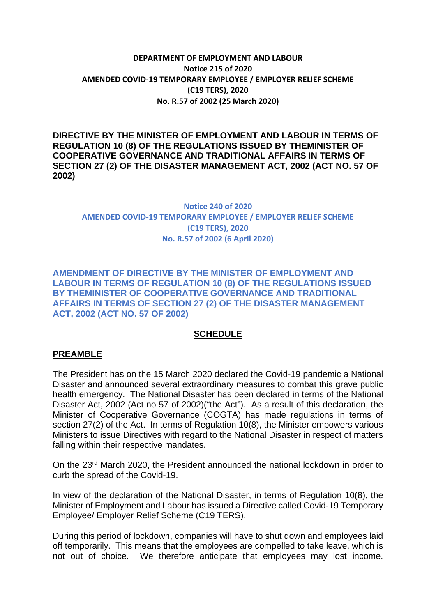## **DEPARTMENT OF EMPLOYMENT AND LABOUR Notice 215 of 2020 AMENDED COVID-19 TEMPORARY EMPLOYEE / EMPLOYER RELIEF SCHEME (C19 TERS), 2020 No. R.57 of 2002 (25 March 2020)**

**DIRECTIVE BY THE MINISTER OF EMPLOYMENT AND LABOUR IN TERMS OF REGULATION 10 (8) OF THE REGULATIONS ISSUED BY THEMINISTER OF COOPERATIVE GOVERNANCE AND TRADITIONAL AFFAIRS IN TERMS OF SECTION 27 (2) OF THE DISASTER MANAGEMENT ACT, 2002 (ACT NO. 57 OF 2002)**

## **Notice 240 of 2020 AMENDED COVID-19 TEMPORARY EMPLOYEE / EMPLOYER RELIEF SCHEME (C19 TERS), 2020 No. R.57 of 2002 (6 April 2020)**

**AMENDMENT OF DIRECTIVE BY THE MINISTER OF EMPLOYMENT AND LABOUR IN TERMS OF REGULATION 10 (8) OF THE REGULATIONS ISSUED BY THEMINISTER OF COOPERATIVE GOVERNANCE AND TRADITIONAL AFFAIRS IN TERMS OF SECTION 27 (2) OF THE DISASTER MANAGEMENT ACT, 2002 (ACT NO. 57 OF 2002)**

## **SCHEDULE**

#### **PREAMBLE**

The President has on the 15 March 2020 declared the Covid-19 pandemic a National Disaster and announced several extraordinary measures to combat this grave public health emergency. The National Disaster has been declared in terms of the National Disaster Act, 2002 (Act no 57 of 2002)("the Act"). As a result of this declaration, the Minister of Cooperative Governance (COGTA) has made regulations in terms of section 27(2) of the Act. In terms of Regulation 10(8), the Minister empowers various Ministers to issue Directives with regard to the National Disaster in respect of matters falling within their respective mandates.

On the 23rd March 2020, the President announced the national lockdown in order to curb the spread of the Covid-19.

In view of the declaration of the National Disaster, in terms of Regulation 10(8), the Minister of Employment and Labour has issued a Directive called Covid-19 Temporary Employee/ Employer Relief Scheme (C19 TERS).

During this period of lockdown, companies will have to shut down and employees laid off temporarily. This means that the employees are compelled to take leave, which is not out of choice. We therefore anticipate that employees may lost income.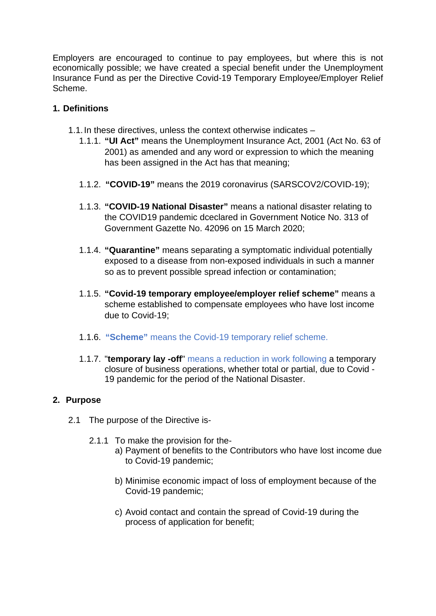Employers are encouraged to continue to pay employees, but where this is not economically possible; we have created a special benefit under the Unemployment Insurance Fund as per the Directive Covid-19 Temporary Employee/Employer Relief Scheme.

## **1. Definitions**

- 1.1.In these directives, unless the context otherwise indicates
	- 1.1.1. **"UI Act"** means the Unemployment Insurance Act, 2001 (Act No. 63 of 2001) as amended and any word or expression to which the meaning has been assigned in the Act has that meaning;
	- 1.1.2. **"COVID-19"** means the 2019 coronavirus (SARSCOV2/COVID-19);
	- 1.1.3. **"COVID-19 National Disaster"** means a national disaster relating to the COVID19 pandemic dceclared in Government Notice No. 313 of Government Gazette No. 42096 on 15 March 2020;
	- 1.1.4. **"Quarantine"** means separating a symptomatic individual potentially exposed to a disease from non-exposed individuals in such a manner so as to prevent possible spread infection or contamination;
	- 1.1.5. **"Covid-19 temporary employee/employer relief scheme"** means a scheme established to compensate employees who have lost income due to Covid-19;
	- 1.1.6. **"Scheme"** means the Covid-19 temporary relief scheme.
	- 1.1.7. "**temporary lay -off**" means a reduction in work following a temporary closure of business operations, whether total or partial, due to Covid - 19 pandemic for the period of the National Disaster.

# **2. Purpose**

- 2.1 The purpose of the Directive is-
	- 2.1.1 To make the provision for the
		- a) Payment of benefits to the Contributors who have lost income due to Covid-19 pandemic;
		- b) Minimise economic impact of loss of employment because of the Covid-19 pandemic;
		- c) Avoid contact and contain the spread of Covid-19 during the process of application for benefit;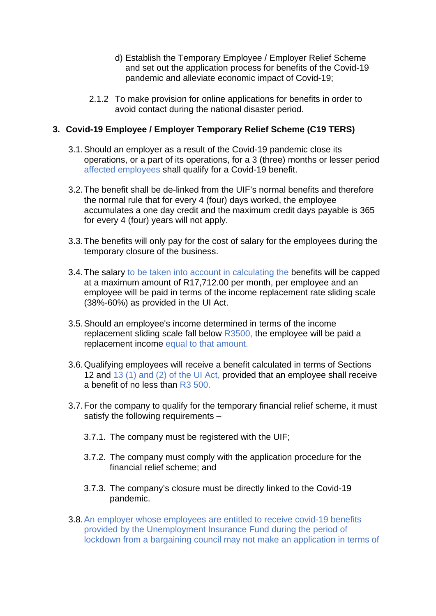- d) Establish the Temporary Employee / Employer Relief Scheme and set out the application process for benefits of the Covid-19 pandemic and alleviate economic impact of Covid-19;
- 2.1.2 To make provision for online applications for benefits in order to avoid contact during the national disaster period.

## **3. Covid-19 Employee / Employer Temporary Relief Scheme (C19 TERS)**

- 3.1.Should an employer as a result of the Covid-19 pandemic close its operations, or a part of its operations, for a 3 (three) months or lesser period affected employees shall qualify for a Covid-19 benefit.
- 3.2.The benefit shall be de-linked from the UIF's normal benefits and therefore the normal rule that for every 4 (four) days worked, the employee accumulates a one day credit and the maximum credit days payable is 365 for every 4 (four) years will not apply.
- 3.3.The benefits will only pay for the cost of salary for the employees during the temporary closure of the business.
- 3.4.The salary to be taken into account in calculating the benefits will be capped at a maximum amount of R17,712.00 per month, per employee and an employee will be paid in terms of the income replacement rate sliding scale (38%-60%) as provided in the UI Act.
- 3.5.Should an employee's income determined in terms of the income replacement sliding scale fall below R3500, the employee will be paid a replacement income equal to that amount.
- 3.6.Qualifying employees will receive a benefit calculated in terms of Sections 12 and 13 (1) and (2) of the UI Act, provided that an employee shall receive a benefit of no less than R3 500.
- 3.7.For the company to qualify for the temporary financial relief scheme, it must satisfy the following requirements –
	- 3.7.1. The company must be registered with the UIF;
	- 3.7.2. The company must comply with the application procedure for the financial relief scheme; and
	- 3.7.3. The company's closure must be directly linked to the Covid-19 pandemic.
- 3.8.An employer whose employees are entitled to receive covid-19 benefits provided by the Unemployment Insurance Fund during the period of lockdown from a bargaining council may not make an application in terms of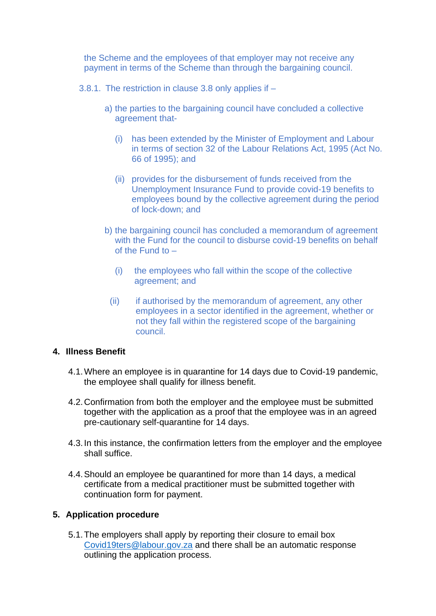the Scheme and the employees of that employer may not receive any payment in terms of the Scheme than through the bargaining council.

3.8.1. The restriction in clause 3.8 only applies if –

- a) the parties to the bargaining council have concluded a collective agreement that-
	- (i) has been extended by the Minister of Employment and Labour in terms of section 32 of the Labour Relations Act, 1995 (Act No. 66 of 1995); and
	- (ii) provides for the disbursement of funds received from the Unemployment Insurance Fund to provide covid-19 benefits to employees bound by the collective agreement during the period of lock-down; and
- b) the bargaining council has concluded a memorandum of agreement with the Fund for the council to disburse covid-19 benefits on behalf of the Fund to –
	- (i) the employees who fall within the scope of the collective agreement; and
	- (ii) if authorised by the memorandum of agreement, any other employees in a sector identified in the agreement, whether or not they fall within the registered scope of the bargaining council.

## **4. Illness Benefit**

- 4.1.Where an employee is in quarantine for 14 days due to Covid-19 pandemic, the employee shall qualify for illness benefit.
- 4.2.Confirmation from both the employer and the employee must be submitted together with the application as a proof that the employee was in an agreed pre-cautionary self-quarantine for 14 days.
- 4.3.In this instance, the confirmation letters from the employer and the employee shall suffice.
- 4.4.Should an employee be quarantined for more than 14 days, a medical certificate from a medical practitioner must be submitted together with continuation form for payment.

## **5. Application procedure**

5.1.The employers shall apply by reporting their closure to email box [Covid19ters@labour.gov.za](mailto:Covid19ters@labour.gov.za) and there shall be an automatic response outlining the application process.